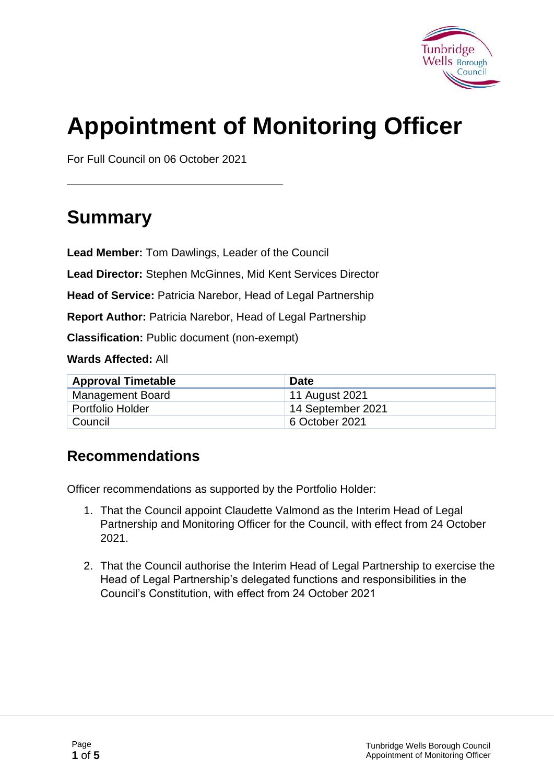

# **Appointment of Monitoring Officer**

For Full Council on 06 October 2021

# **Summary**

**Lead Member:** Tom Dawlings, Leader of the Council

**Lead Director:** Stephen McGinnes, Mid Kent Services Director

**Head of Service:** Patricia Narebor, Head of Legal Partnership

**Report Author:** Patricia Narebor, Head of Legal Partnership

**Classification:** Public document (non-exempt)

**Wards Affected:** All

| <b>Approval Timetable</b> | <b>Date</b>       |
|---------------------------|-------------------|
| Management Board          | 11 August 2021    |
| <b>Portfolio Holder</b>   | 14 September 2021 |
| Council                   | 6 October 2021    |

#### **Recommendations**

Officer recommendations as supported by the Portfolio Holder:

- 1. That the Council appoint Claudette Valmond as the Interim Head of Legal Partnership and Monitoring Officer for the Council, with effect from 24 October 2021.
- 2. That the Council authorise the Interim Head of Legal Partnership to exercise the Head of Legal Partnership's delegated functions and responsibilities in the Council's Constitution, with effect from 24 October 2021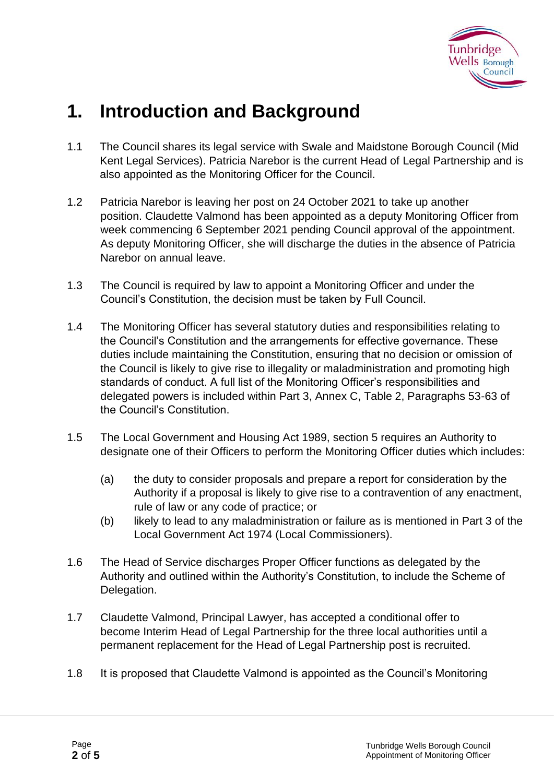

# **1. Introduction and Background**

- 1.1 The Council shares its legal service with Swale and Maidstone Borough Council (Mid Kent Legal Services). Patricia Narebor is the current Head of Legal Partnership and is also appointed as the Monitoring Officer for the Council.
- 1.2 Patricia Narebor is leaving her post on 24 October 2021 to take up another position. Claudette Valmond has been appointed as a deputy Monitoring Officer from week commencing 6 September 2021 pending Council approval of the appointment. As deputy Monitoring Officer, she will discharge the duties in the absence of Patricia Narebor on annual leave.
- 1.3 The Council is required by law to appoint a Monitoring Officer and under the Council's Constitution, the decision must be taken by Full Council.
- 1.4 The Monitoring Officer has several statutory duties and responsibilities relating to the Council's Constitution and the arrangements for effective governance. These duties include maintaining the Constitution, ensuring that no decision or omission of the Council is likely to give rise to illegality or maladministration and promoting high standards of conduct. A full list of the Monitoring Officer's responsibilities and delegated powers is included within Part 3, Annex C, Table 2, Paragraphs 53-63 of the Council's Constitution.
- 1.5 The Local Government and Housing Act 1989, section 5 requires an Authority to designate one of their Officers to perform the Monitoring Officer duties which includes:
	- (a) the duty to consider proposals and prepare a report for consideration by the Authority if a proposal is likely to give rise to a contravention of any enactment, rule of law or any code of practice; or
	- (b) likely to lead to any maladministration or failure as is mentioned in Part 3 of the Local Government Act 1974 (Local Commissioners).
- 1.6 The Head of Service discharges Proper Officer functions as delegated by the Authority and outlined within the Authority's Constitution, to include the Scheme of Delegation.
- 1.7 Claudette Valmond, Principal Lawyer, has accepted a conditional offer to become Interim Head of Legal Partnership for the three local authorities until a permanent replacement for the Head of Legal Partnership post is recruited.
- 1.8 It is proposed that Claudette Valmond is appointed as the Council's Monitoring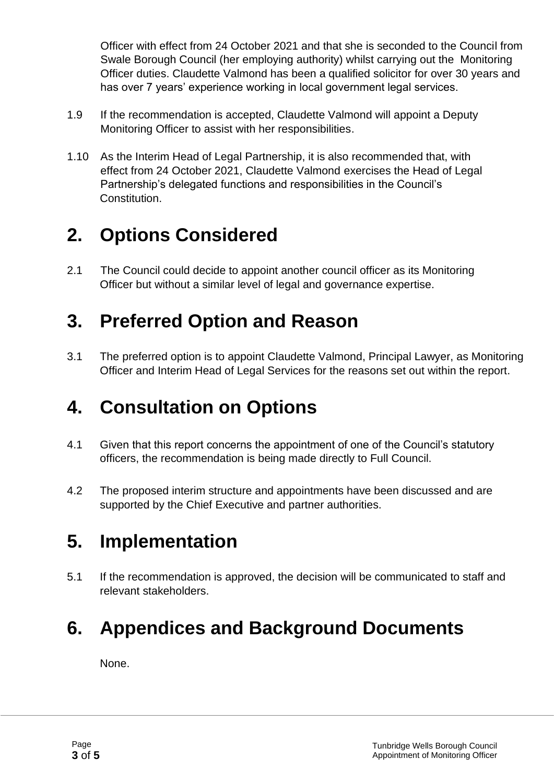Officer with effect from 24 October 2021 and that she is seconded to the Council from Swale Borough Council (her employing authority) whilst carrying out the Monitoring Officer duties. Claudette Valmond has been a qualified solicitor for over 30 years and has over 7 years' experience working in local government legal services.

- 1.9 If the recommendation is accepted, Claudette Valmond will appoint a Deputy Monitoring Officer to assist with her responsibilities.
- 1.10 As the Interim Head of Legal Partnership, it is also recommended that, with effect from 24 October 2021, Claudette Valmond exercises the Head of Legal Partnership's delegated functions and responsibilities in the Council's Constitution.

# **2. Options Considered**

2.1 The Council could decide to appoint another council officer as its Monitoring Officer but without a similar level of legal and governance expertise.

### **3. Preferred Option and Reason**

3.1 The preferred option is to appoint Claudette Valmond, Principal Lawyer, as Monitoring Officer and Interim Head of Legal Services for the reasons set out within the report.

# **4. Consultation on Options**

- 4.1 Given that this report concerns the appointment of one of the Council's statutory officers, the recommendation is being made directly to Full Council.
- 4.2 The proposed interim structure and appointments have been discussed and are supported by the Chief Executive and partner authorities.

# **5. Implementation**

5.1 If the recommendation is approved, the decision will be communicated to staff and relevant stakeholders.

# **6. Appendices and Background Documents**

None.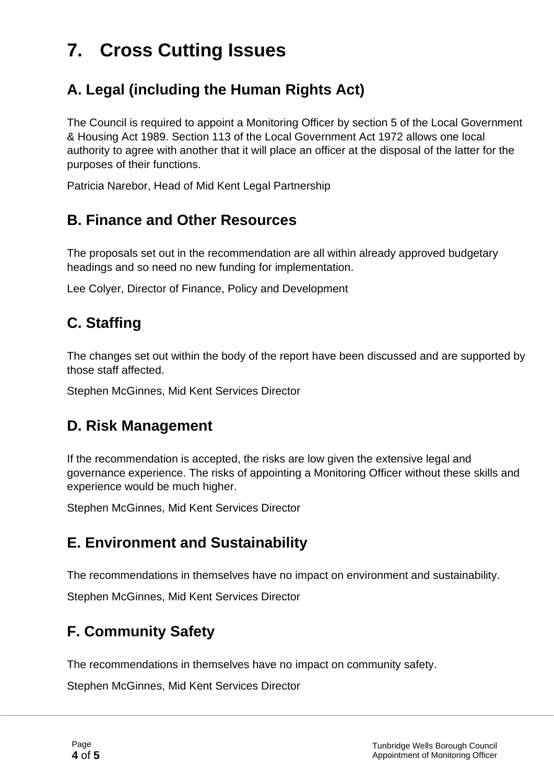# **7. Cross Cutting Issues**

#### **A. Legal (including the Human Rights Act)**

The Council is required to appoint a Monitoring Officer by section 5 of the Local Government & Housing Act 1989. Section 113 of the Local Government Act 1972 allows one local authority to agree with another that it will place an officer at the disposal of the latter for the purposes of their functions.

Patricia Narebor, Head of Mid Kent Legal Partnership

#### **B. Finance and Other Resources**

The proposals set out in the recommendation are all within already approved budgetary headings and so need no new funding for implementation.

Lee Colyer, Director of Finance, Policy and Development

### **C. Staffing**

The changes set out within the body of the report have been discussed and are supported by those staff affected.

Stephen McGinnes, Mid Kent Services Director

#### **D. Risk Management**

If the recommendation is accepted, the risks are low given the extensive legal and governance experience. The risks of appointing a Monitoring Officer without these skills and experience would be much higher.

Stephen McGinnes, Mid Kent Services Director

#### **E. Environment and Sustainability**

The recommendations in themselves have no impact on environment and sustainability.

Stephen McGinnes, Mid Kent Services Director

### **F. Community Safety**

The recommendations in themselves have no impact on community safety.

Stephen McGinnes, Mid Kent Services Director